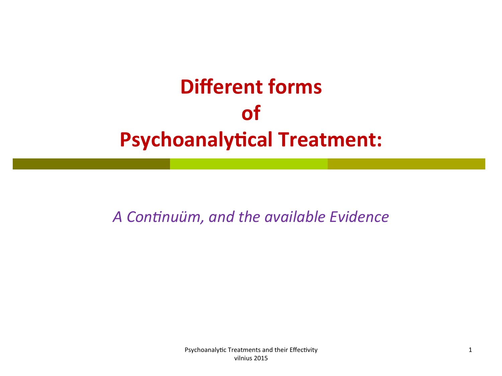# **Different forms of Psychoanalytical Treatment:**

A Continuüm, and the available Evidence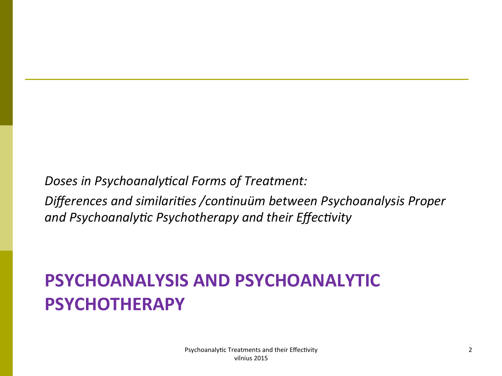Doses in Psychoanalytical Forms of Treatment:

Differences and similarities / continuüm between Psychoanalysis Proper and Psychoanalytic Psychotherapy and their Effectivity

## **PSYCHOANALYSIS AND PSYCHOANALYTIC PSYCHOTHERAPY**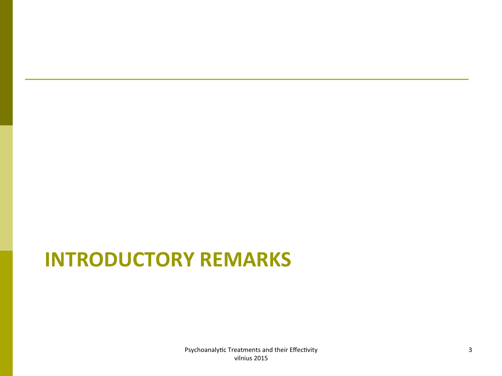# **INTRODUCTORY REMARKS**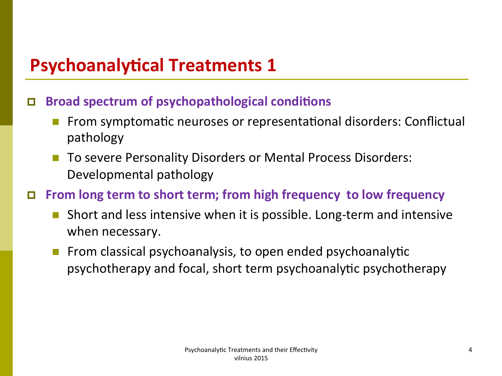### $\Box$  Broad spectrum of psychopathological conditions

- From symptomatic neuroses or representational disorders: Conflictual pathology
- To severe Personality Disorders or Mental Process Disorders: Developmental pathology

### **□** From long term to short term; from high frequency to low frequency

- Short and less intensive when it is possible. Long-term and intensive when necessary.
- From classical psychoanalysis, to open ended psychoanalytic psychotherapy and focal, short term psychoanalytic psychotherapy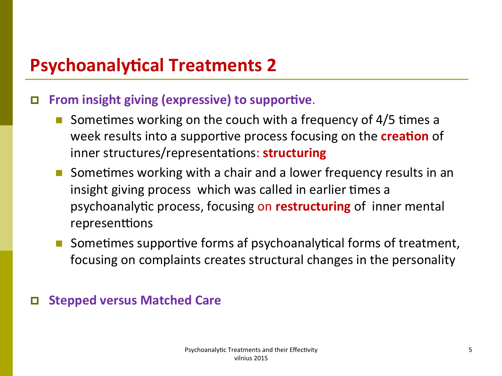#### **p** From insight giving (expressive) to supportive.

- Sometimes working on the couch with a frequency of 4/5 times a week results into a supportive process focusing on the **creation** of inner structures/representations: **structuring**
- **n** Sometimes working with a chair and a lower frequency results in an insight giving process which was called in earlier times a psychoanalytic process, focusing on **restructuring** of inner mental representtions
- Sometimes supportive forms af psychoanalytical forms of treatment, focusing on complaints creates structural changes in the personality

#### **Stepped versus Matched Care**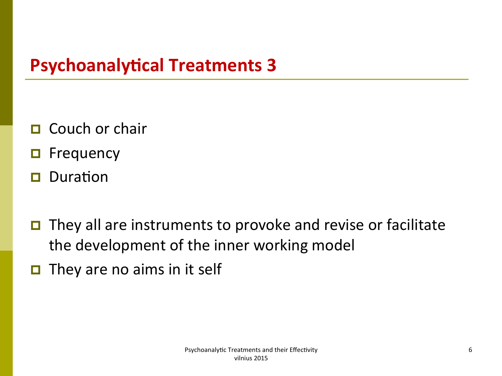- $\Box$  Couch or chair
- **p** Frequency
- $\Box$  Duration
- $\blacksquare$  They all are instruments to provoke and revise or facilitate the development of the inner working model
- $\Box$  They are no aims in it self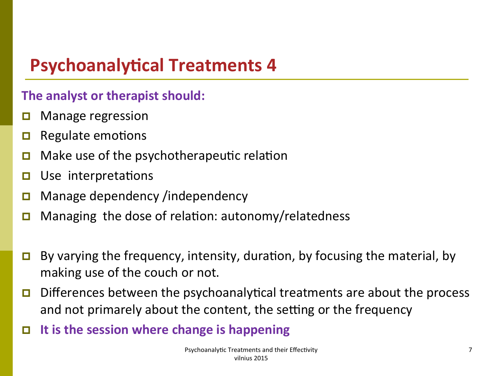### **The analyst or therapist should:**

- $\Box$  Manage regression
- $\Box$  Regulate emotions
- **D** Make use of the psychotherapeutic relation
- $\Box$  Use interpretations
- Manage dependency /independency
- Managing the dose of relation: autonomy/relatedness
- **D** By varying the frequency, intensity, duration, by focusing the material, by making use of the couch or not.
- **p** Differences between the psychoanalytical treatments are about the process and not primarely about the content, the setting or the frequency
- $\Box$  It is the session where change is happening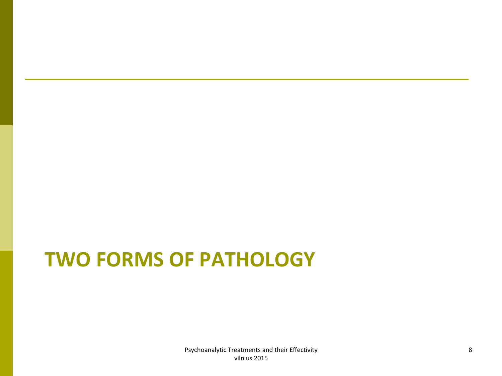# **TWO FORMS OF PATHOLOGY**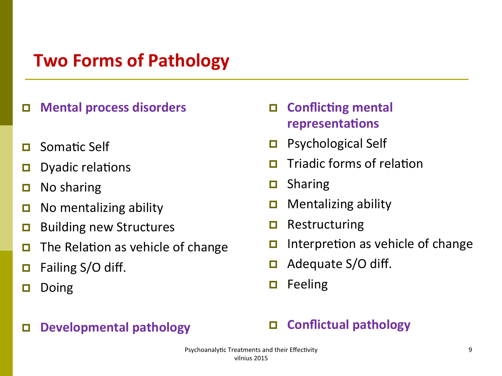## **Two Forms of Pathology**

#### □ Mental process disorders

- **p** Somatic Self
- $\Box$  Dyadic relations
- $\Box$  No sharing
- **D** No mentalizing ability
- $\Box$  Building new Structures
- **p** The Relation as vehicle of change
- $\Box$  Failing S/O diff.
- $\Box$  Doing

#### **D** Developmental pathology

### **D** Conflicting mental **representations**

- $\Box$  Psychological Self
- **p** Triadic forms of relation
- $\Box$  Sharing
- $\Box$  Mentalizing ability
- $\Box$  Restructuring
- $\Box$  Interpretion as vehicle of change
- $\Box$  Adequate S/O diff.
- $\Box$  Feeling

#### **D** Conflictual pathology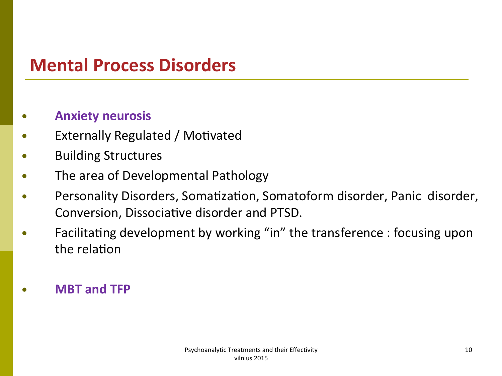## **Mental Process Disorders**

#### **Anxiety neurosis**

- **Externally Regulated / Motivated**
- **Building Structures**  $\bullet$
- The area of Developmental Pathology
- Personality Disorders, Somatization, Somatoform disorder, Panic disorder, Conversion, Dissociative disorder and PTSD.
- Facilitating development by working "in" the transference : focusing upon the relation
- **MBT and TFP**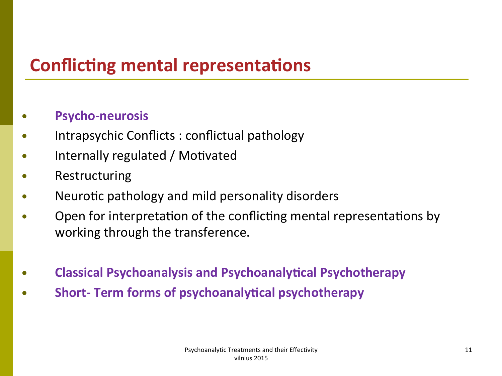## **Conflicting mental representations**

#### **Psycho-neurosis**

- Intrapsychic Conflicts : conflictual pathology
- Internally regulated / Motivated  $\bullet$
- Restructuring  $\bullet$
- Neurotic pathology and mild personality disorders
- Open for interpretation of the conflicting mental representations by working through the transference.
- **Classical Psychoanalysis and Psychoanalytical Psychotherapy**
- **Short- Term forms of psychoanalytical psychotherapy**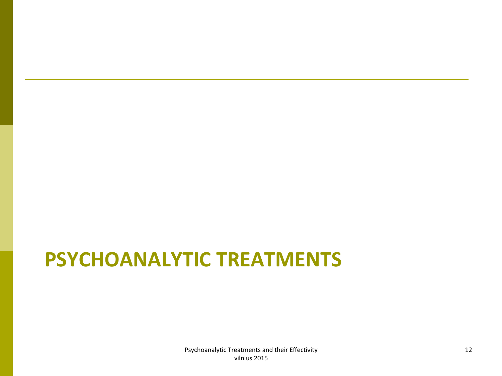# **PSYCHOANALYTIC TREATMENTS**

Psychoanalytic Treatments and their Effectivity vilnius 2015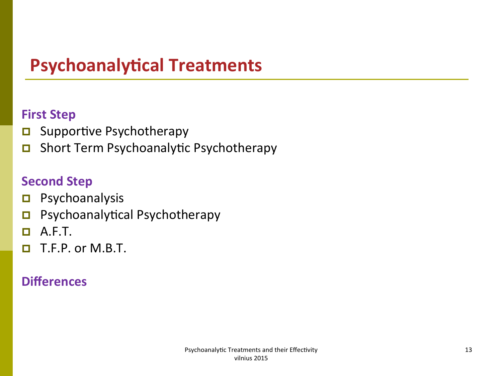#### **First Step**

- $\Box$  Supportive Psychotherapy
- **D** Short Term Psychoanalytic Psychotherapy

### **Second Step**

- $\blacksquare$  Psychoanalysis
- **p** Psychoanalytical Psychotherapy
- $\Box$  A.F.T.
- $\Box$  T.F.P. or M.B.T.

## **Differences**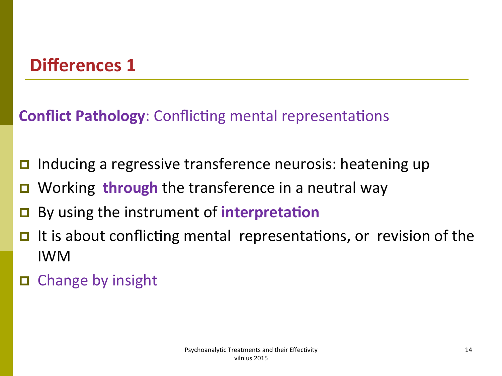## **Differences 1**

**Conflict Pathology:** Conflicting mental representations

- $\Box$  Inducing a regressive transference neurosis: heatening up
- **D** Working **through** the transference in a neutral way
- By using the instrument of **interpretation**
- $\Box$  It is about conflicting mental representations, or revision of the IWM
- $\Box$  Change by insight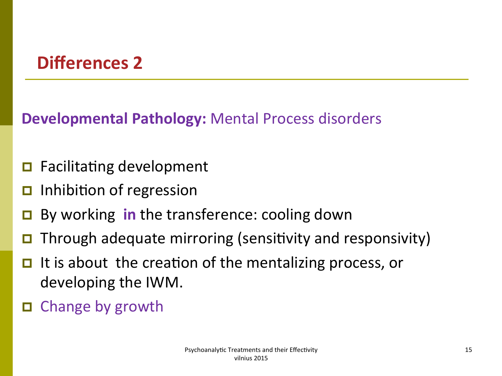## **Differences 2**

**Developmental Pathology:** Mental Process disorders

- $\Box$  Facilitating development
- $\Box$  Inhibition of regression
- By working **in** the transference: cooling down
- **D** Through adequate mirroring (sensitivity and responsivity)
- $\Box$  It is about the creation of the mentalizing process, or developing the IWM.
- $\Box$  Change by growth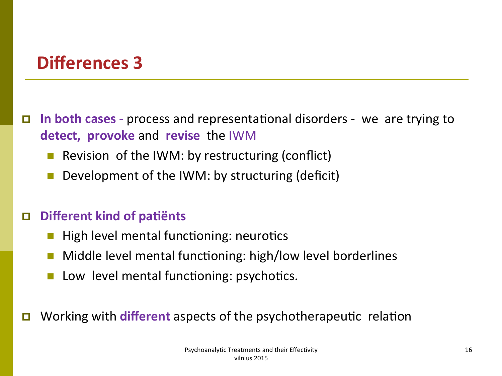## Differences 3

**D** In both cases - process and representational disorders - we are trying to **detect, provoke** and **revise** the IWM 

- Revision of the IWM: by restructuring (conflict)
- Development of the IWM: by structuring (deficit)

#### **Different kind of patiënts**

- High level mental functioning: neurotics
- $\blacksquare$  Middle level mental functioning: high/low level borderlines
- Low level mental functioning: psychotics.
- Working with **different** aspects of the psychotherapeutic relation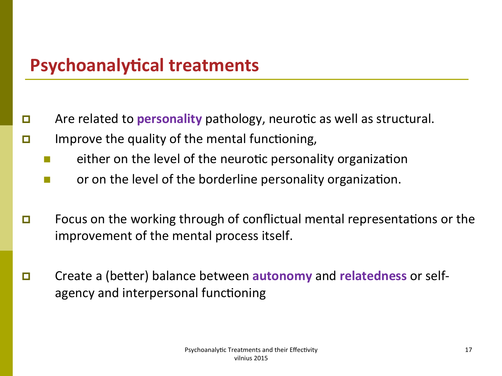- **p** Are related to **personality** pathology, neurotic as well as structural.
- **p** Improve the quality of the mental functioning,
	- either on the level of the neurotic personality organization
	- or on the level of the borderline personality organization.
- **p** Focus on the working through of conflictual mental representations or the improvement of the mental process itself.
- **p** Create a (better) balance between **autonomy** and **relatedness** or selfagency and interpersonal functioning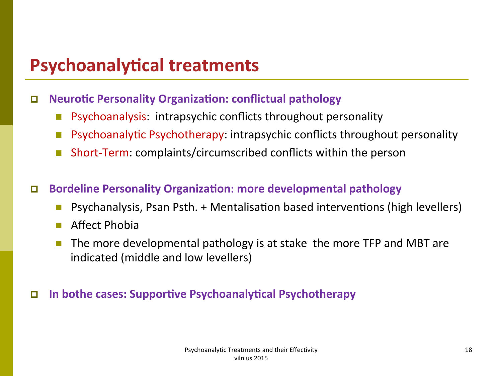#### **D** Neurotic Personality Organization: conflictual pathology

- **n** Psychoanalysis: intrapsychic conflicts throughout personality
- **n** Psychoanalytic Psychotherapy: intrapsychic conflicts throughout personality
- Short-Term: complaints/circumscribed conflicts within the person
- **D** Bordeline Personality Organization: more developmental pathology
	- Psychanalysis, Psan Psth. + Mentalisation based interventions (high levellers)
	- $\blacksquare$  Affect Phobia
	- The more developmental pathology is at stake the more TFP and MBT are indicated (middle and low levellers)

#### **D** In bothe cases: Supportive Psychoanalytical Psychotherapy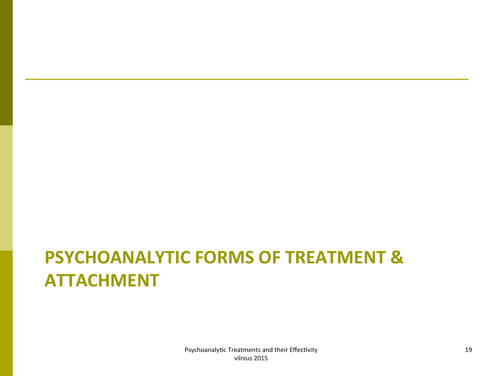# **PSYCHOANALYTIC FORMS OF TREATMENT & ATTACHMENT**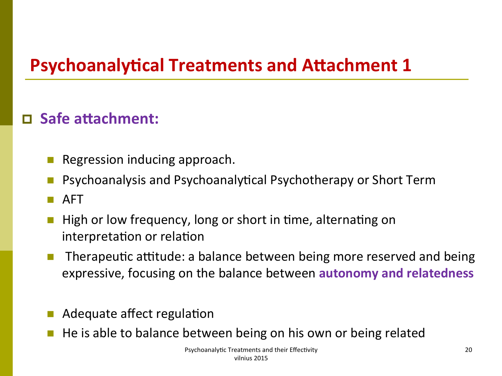## **D** Safe attachment:

- Regression inducing approach.
- Psychoanalysis and Psychoanalytical Psychotherapy or Short Term
- n AFT
- High or low frequency, long or short in time, alternating on interpretation or relation
- Therapeutic attitude: a balance between being more reserved and being expressive, focusing on the balance between **autonomy and relatedness**
- Adequate affect regulation
- He is able to balance between being on his own or being related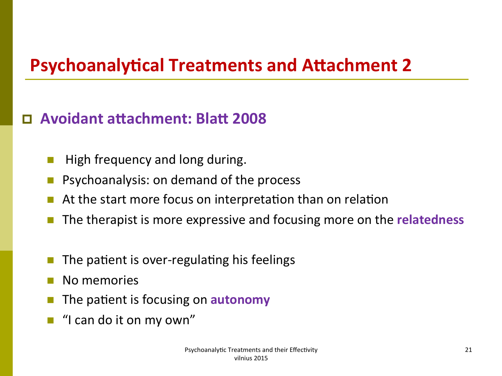## **Avoidant attachment: Blatt 2008**

- High frequency and long during.
- Psychoanalysis: on demand of the process
- At the start more focus on interpretation than on relation
- The therapist is more expressive and focusing more on the **relatedness**
- The patient is over-regulating his feelings
- No memories
- The patient is focusing on **autonomy**
- "I can do it on my own"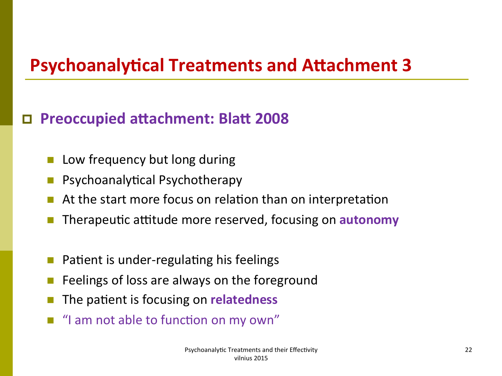## **D** Preoccupied attachment: Blatt 2008

- Low frequency but long during
- Psychoanalytical Psychotherapy
- At the start more focus on relation than on interpretation
- Therapeutic attitude more reserved, focusing on **autonomy**
- Patient is under-regulating his feelings
- Feelings of loss are always on the foreground
- The patient is focusing on **relatedness**
- "I am not able to function on my own"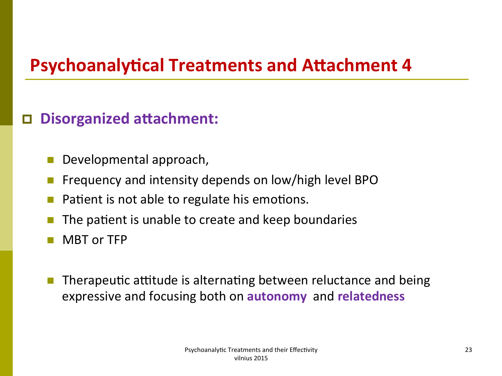## **D** Disorganized attachment:

- Developmental approach,
- Frequency and intensity depends on low/high level BPO
- Patient is not able to regulate his emotions.
- The patient is unable to create and keep boundaries
- MBT or TFP
- Therapeutic attitude is alternating between reluctance and being expressive and focusing both on **autonomy** and **relatedness**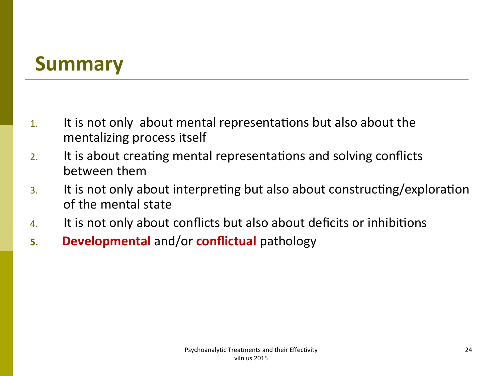## **Summary**

- 1. It is not only about mental representations but also about the mentalizing process itself
- 2. It is about creating mental representations and solving conflicts between them
- 3. It is not only about interpreting but also about constructing/exploration of the mental state
- 4. It is not only about conflicts but also about deficits or inhibitions
- **5. Developmental** and/or **conflictual** pathology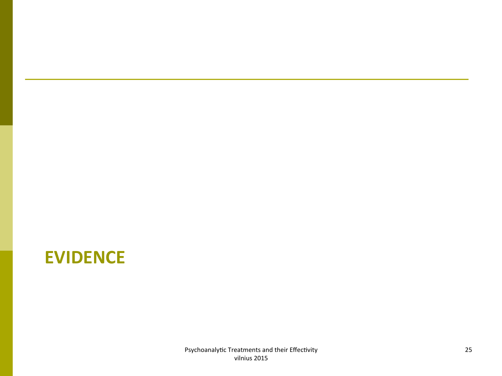## **EVIDENCE**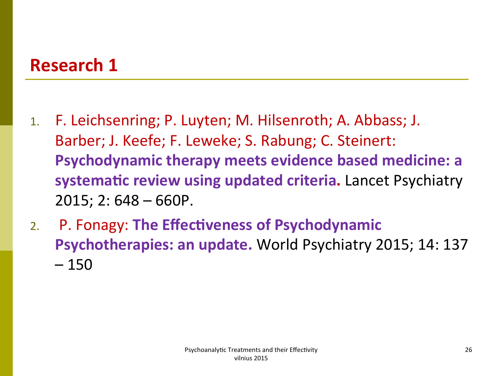## **Research 1**

- 1. F. Leichsenring; P. Luyten; M. Hilsenroth; A. Abbass; J. Barber; J. Keefe; F. Leweke; S. Rabung; C. Steinert: **Psychodynamic therapy meets evidence based medicine: a** systematic review using updated criteria. Lancet Psychiatry  $2015$ ; 2:  $648 - 660P$ .
- 2. P. Fonagy: The Effectiveness of Psychodynamic **Psychotherapies: an update.** World Psychiatry 2015; 14: 137  $-150$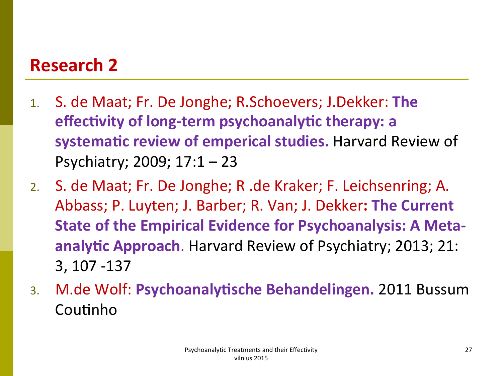## **Research 2**

- 1. S. de Maat; Fr. De Jonghe; R.Schoevers; J.Dekker: The **effectivity of long-term psychoanalytic therapy: a** systematic review of emperical studies. Harvard Review of Psychiatry; 2009;  $17:1 - 23$
- 2. S. de Maat; Fr. De Jonghe; R. de Kraker; F. Leichsenring; A. Abbass; P. Luyten; J. Barber; R. Van; J. Dekker: The Current **State of the Empirical Evidence for Psychoanalysis: A Metaanalytic Approach**. Harvard Review of Psychiatry; 2013; 21: 3, 107 -137
- 3. M.de Wolf: Psychoanalytische Behandelingen. 2011 Bussum Coutinho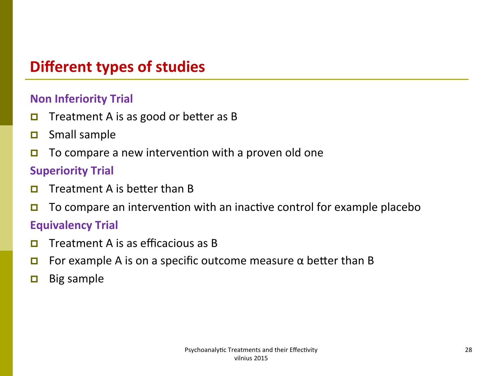## **Different types of studies**

#### **Non Inferiority Trial**

- **D** Treatment A is as good or better as B
- $\Box$  Small sample
- $\Box$  To compare a new intervention with a proven old one

#### **Superiority Trial**

- **p** Treatment A is better than B
- **D** To compare an intervention with an inactive control for example placebo

#### **Equivalency Trial**

- **p** Treatment A is as efficacious as B
- **p** For example A is on a specific outcome measure  $\alpha$  better than B
- $\Box$  Big sample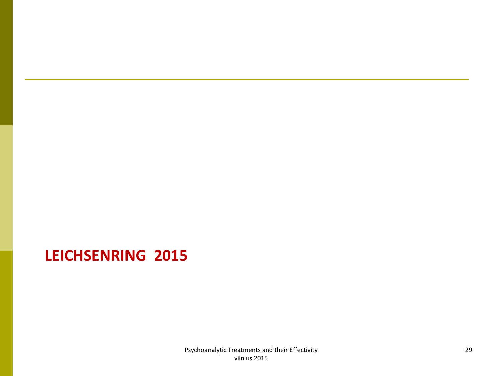## **LEICHSENRING 2015**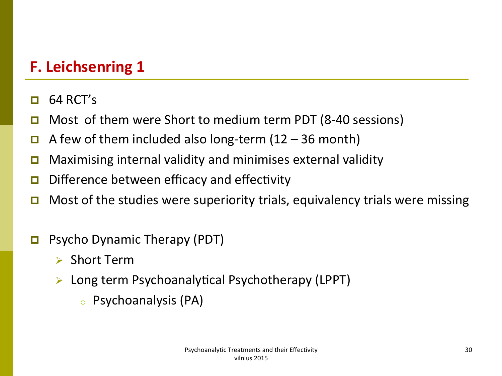- $\Box$  64 RCT's
- **D** Most of them were Short to medium term PDT (8-40 sessions)
- **p** A few of them included also long-term  $(12 36$  month)
- **D** Maximising internal validity and minimises external validity
- **D** Difference between efficacy and effectivity
- **D** Most of the studies were superiority trials, equivalency trials were missing
- **p** Psycho Dynamic Therapy (PDT)
	- $\triangleright$  Short Term
	- $\triangleright$  Long term Psychoanalytical Psychotherapy (LPPT)
		- $\circ$  Psychoanalysis (PA)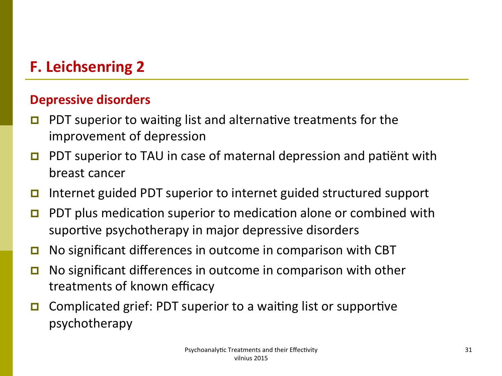#### **Depressive disorders**

- **p** PDT superior to waiting list and alternative treatments for the improvement of depression
- **p** PDT superior to TAU in case of maternal depression and patiënt with breast cancer
- **p** Internet guided PDT superior to internet guided structured support
- **p** PDT plus medication superior to medication alone or combined with suportive psychotherapy in major depressive disorders
- **p** No significant differences in outcome in comparison with CBT
- **p** No significant differences in outcome in comparison with other treatments of known efficacy
- **p** Complicated grief: PDT superior to a waiting list or supportive psychotherapy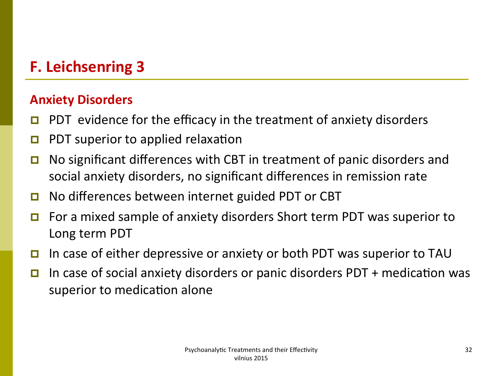#### **Anxiety Disorders**

- **p** PDT evidence for the efficacy in the treatment of anxiety disorders
- **p** PDT superior to applied relaxation
- **D** No significant differences with CBT in treatment of panic disorders and social anxiety disorders, no significant differences in remission rate
- $\Box$  No differences between internet guided PDT or CBT
- $\Box$  For a mixed sample of anxiety disorders Short term PDT was superior to Long term PDT
- **p** In case of either depressive or anxiety or both PDT was superior to TAU
- **p** In case of social anxiety disorders or panic disorders PDT + medication was superior to medication alone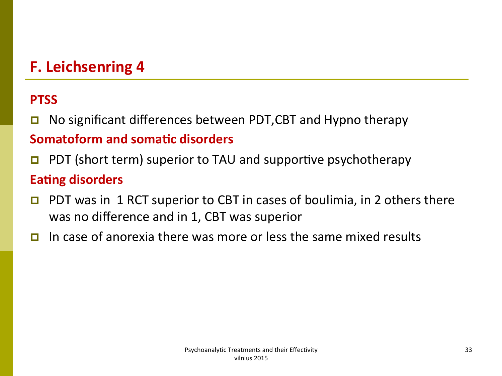### **PTSS**

- **p** No significant differences between PDT, CBT and Hypno therapy **Somatoform and somatic disorders**
- **p** PDT (short term) superior to TAU and supportive psychotherapy

### **Eating disorders**

- **p** PDT was in 1 RCT superior to CBT in cases of boulimia, in 2 others there was no difference and in 1, CBT was superior
- $\Box$  In case of anorexia there was more or less the same mixed results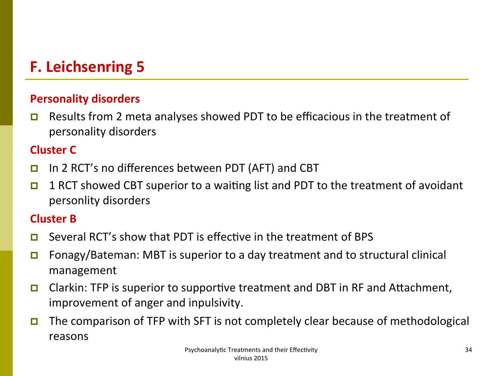#### **Personality disorders**

**p** Results from 2 meta analyses showed PDT to be efficacious in the treatment of personality disorders

#### **Cluster C**

- **p** In 2 RCT's no differences between PDT (AFT) and CBT
- **p** 1 RCT showed CBT superior to a waiting list and PDT to the treatment of avoidant personlity disorders

#### **Cluster B**

- **p** Several RCT's show that PDT is effective in the treatment of BPS
- **p** Fonagy/Bateman: MBT is superior to a day treatment and to structural clinical management
- **D** Clarkin: TFP is superior to supportive treatment and DBT in RF and Attachment, improvement of anger and inpulsivity.
- **D** The comparison of TFP with SFT is not completely clear because of methodological reasons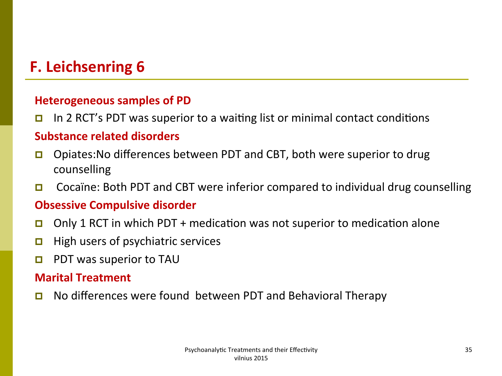#### **Heterogeneous samples of PD**

**p** In 2 RCT's PDT was superior to a waiting list or minimal contact conditions

#### **Substance related disorders**

- **D** Opiates: No differences between PDT and CBT, both were superior to drug counselling
- **D** Cocaïne: Both PDT and CBT were inferior compared to individual drug counselling

#### **Obsessive Compulsive disorder**

- **D** Only 1 RCT in which PDT + medication was not superior to medication alone
- $\Box$  High users of psychiatric services
- **p** PDT was superior to TAU

#### **Marital Treatment**

**D** No differences were found between PDT and Behavioral Therapy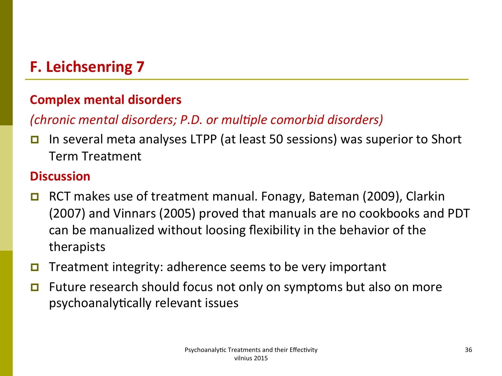#### **Complex mental disorders**

### *(chronic mental disorders; P.D. or multiple comorbid disorders)*

**p** In several meta analyses LTPP (at least 50 sessions) was superior to Short Term Treatment 

#### **Discussion**

- RCT makes use of treatment manual. Fonagy, Bateman (2009), Clarkin (2007) and Vinnars (2005) proved that manuals are no cookbooks and PDT can be manualized without loosing flexibility in the behavior of the therapists
- **D** Treatment integrity: adherence seems to be very important
- $\Box$  Future research should focus not only on symptoms but also on more psychoanalytically relevant issues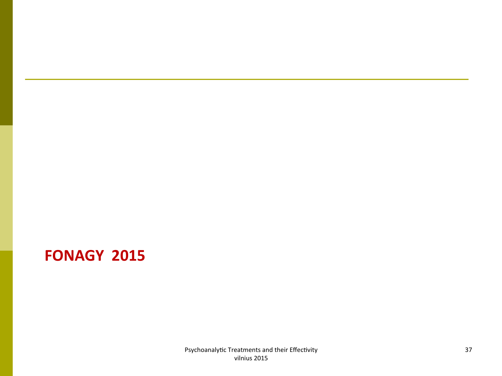## **FONAGY 2015**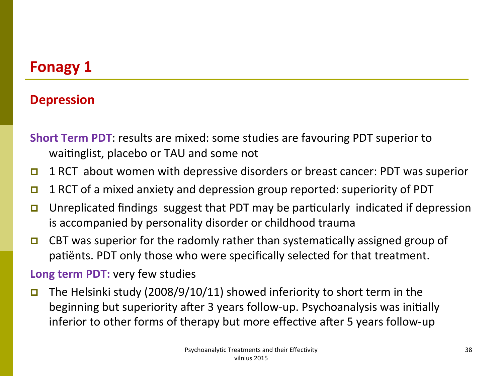#### **Depression**

**Short Term PDT**: results are mixed: some studies are favouring PDT superior to waitinglist, placebo or TAU and some not

- **p** 1 RCT about women with depressive disorders or breast cancer: PDT was superior
- **p** 1 RCT of a mixed anxiety and depression group reported: superiority of PDT
- **D** Unreplicated findings suggest that PDT may be particularly indicated if depression is accompanied by personality disorder or childhood trauma
- **D** CBT was superior for the radomly rather than systematically assigned group of patients. PDT only those who were specifically selected for that treatment.

#### **Long term PDT:** very few studies

**p** The Helsinki study (2008/9/10/11) showed inferiority to short term in the beginning but superiority after 3 years follow-up. Psychoanalysis was initially inferior to other forms of therapy but more effective after 5 years follow-up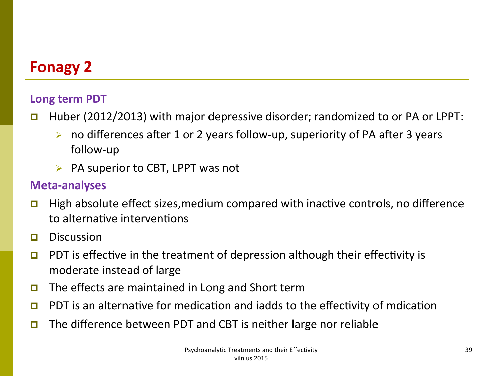#### Long term PDT

- **p** Huber (2012/2013) with major depressive disorder; randomized to or PA or LPPT:
	- ighthroporal in or  $\geq$  and  $\geq$  years follow-up, superiority of PA after 3 years follow-up
	- $\triangleright$  PA superior to CBT, LPPT was not

#### **Meta-analyses**

- **p** High absolute effect sizes, medium compared with inactive controls, no difference to alternative interventions
- **p** Discussion
- **p** PDT is effective in the treatment of depression although their effectivity is moderate instead of large
- **p** The effects are maintained in Long and Short term
- **p** PDT is an alternative for medication and iadds to the effectivity of mdication
- **p** The difference between PDT and CBT is neither large nor reliable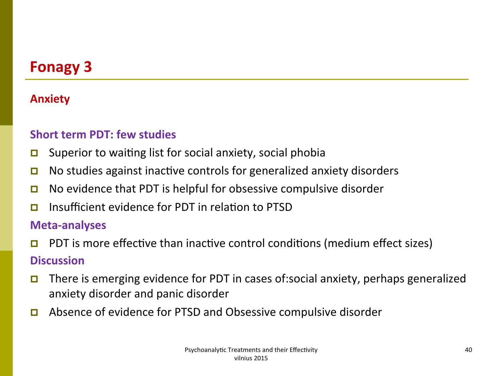#### **Anxiety**

#### **Short term PDT: few studies**

- **p** Superior to waiting list for social anxiety, social phobia
- **p** No studies against inactive controls for generalized anxiety disorders
- **D** No evidence that PDT is helpful for obsessive compulsive disorder
- **p** Insufficient evidence for PDT in relation to PTSD

#### **Meta-analyses**

**p** PDT is more effective than inactive control conditions (medium effect sizes)

#### **Discussion**

- **p** There is emerging evidence for PDT in cases of:social anxiety, perhaps generalized anxiety disorder and panic disorder
- **p** Absence of evidence for PTSD and Obsessive compulsive disorder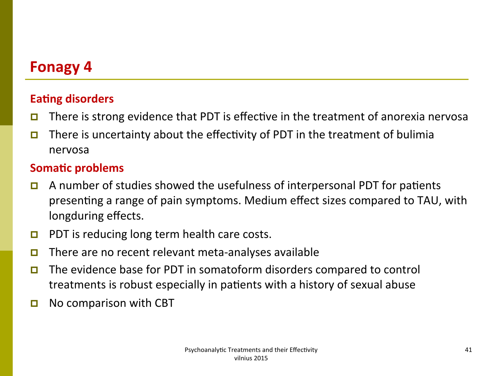#### **Eating disorders**

- **p** There is strong evidence that PDT is effective in the treatment of anorexia nervosa
- **p** There is uncertainty about the effectivity of PDT in the treatment of bulimia nervosa

#### **Somatic problems**

- **p** A number of studies showed the usefulness of interpersonal PDT for patients presenting a range of pain symptoms. Medium effect sizes compared to TAU, with longduring effects.
- **p** PDT is reducing long term health care costs.
- **D** There are no recent relevant meta-analyses available
- **p** The evidence base for PDT in somatoform disorders compared to control treatments is robust especially in patients with a history of sexual abuse
- **p** No comparison with CBT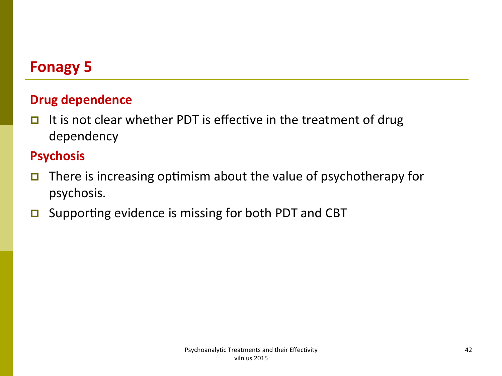### **Drug dependence**

It is not clear whether PDT is effective in the treatment of drug П dependency

#### **Psychosis**

- There is increasing optimism about the value of psychotherapy for  $\Box$ psychosis.
- Supporting evidence is missing for both PDT and CBT  $\Box$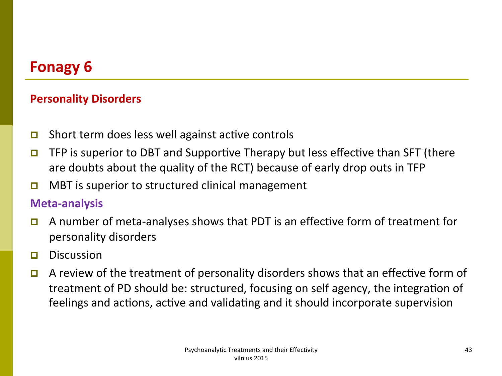#### **Personality Disorders**

- **p** Short term does less well against active controls
- **p** TFP is superior to DBT and Supportive Therapy but less effective than SFT (there are doubts about the quality of the RCT) because of early drop outs in TFP
- **D** MBT is superior to structured clinical management

#### **Meta-analysis**

- **p** A number of meta-analyses shows that PDT is an effective form of treatment for personality disorders
- $\Box$  Discussion
- **p** A review of the treatment of personality disorders shows that an effective form of treatment of PD should be: structured, focusing on self agency, the integration of feelings and actions, active and validating and it should incorporate supervision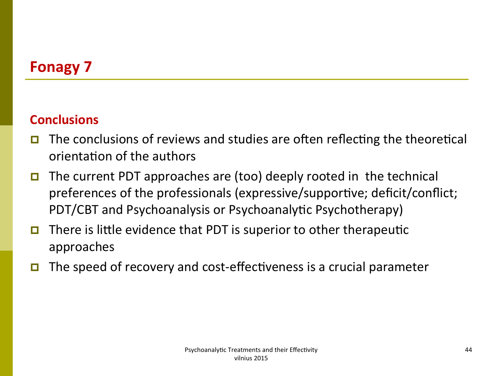#### **Conclusions**

- The conclusions of reviews and studies are often reflecting the theoretical П orientation of the authors
- The current PDT approaches are (too) deeply rooted in the technical  $\Box$ preferences of the professionals (expressive/supportive; deficit/conflict; PDT/CBT and Psychoanalysis or Psychoanalytic Psychotherapy)
- There is little evidence that PDT is superior to other therapeutic  $\Box$ approaches
- The speed of recovery and cost-effectiveness is a crucial parameter П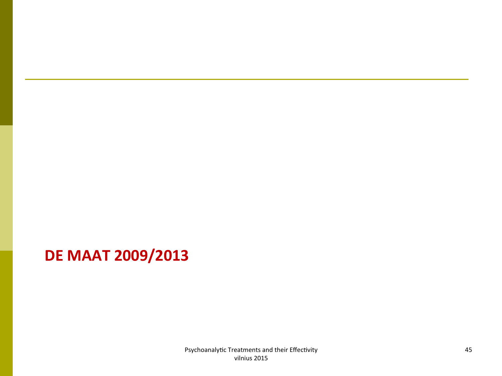## **DE MAAT 2009/2013**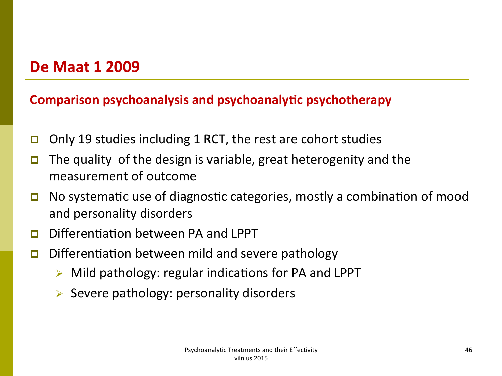### **De Maat 1 2009**

#### **Comparison psychoanalysis and psychoanalytic psychotherapy**

- **p** Only 19 studies including 1 RCT, the rest are cohort studies
- **p** The quality of the design is variable, great heterogenity and the measurement of outcome
- **D** No systematic use of diagnostic categories, mostly a combination of mood and personality disorders
- $\Box$  Differentiation between PA and LPPT
- **D** Differentiation between mild and severe pathology
	- Mild pathology: regular indications for PA and LPPT
	- $\triangleright$  Severe pathology: personality disorders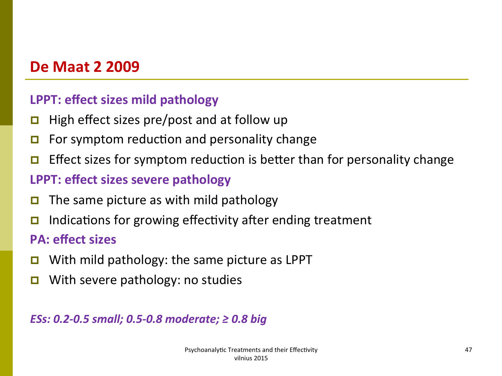### **De Maat 2 2009**

#### **LPPT: effect sizes mild pathology**

- $\Box$  High effect sizes pre/post and at follow up
- $\Box$  For symptom reduction and personality change
- **p** Effect sizes for symptom reduction is better than for personality change

#### **LPPT: effect sizes severe pathology**

- $\Box$  The same picture as with mild pathology
- **p** Indications for growing effectivity after ending treatment

#### **PA: effect sizes**

- **D** With mild pathology: the same picture as LPPT
- **D** With severe pathology: no studies

#### *ESs:* 0.2-0.5 small; 0.5-0.8 moderate; ≥ 0.8 big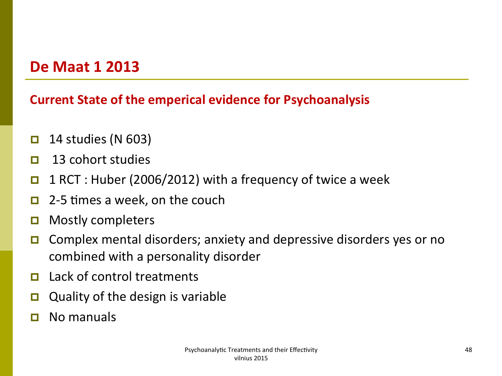### **De Maat 1 2013**

#### **Current State of the emperical evidence for Psychoanalysis**

- $\Box$  14 studies (N 603)
- $\Box$  13 cohort studies
- **p** 1 RCT : Huber (2006/2012) with a frequency of twice a week
- $\Box$  2-5 times a week, on the couch
- $\Box$  Mostly completers
- $\Box$  Complex mental disorders; anxiety and depressive disorders yes or no combined with a personality disorder
- $\Box$  Lack of control treatments
- **Quality of the design is variable**
- $\Box$  No manuals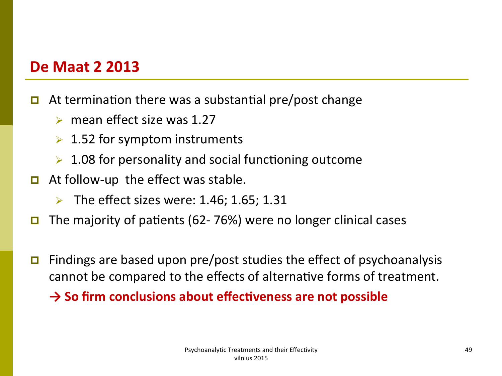### **De Maat 2 2013**

- **p** At termination there was a substantial pre/post change
	- $\triangleright$  mean effect size was 1.27
	- $\geq 1.52$  for symptom instruments
	- $\triangleright$  1.08 for personality and social functioning outcome
- $\Box$  At follow-up the effect was stable.
	- $\triangleright$  The effect sizes were: 1.46; 1.65; 1.31
- **p** The majority of patients (62- 76%) were no longer clinical cases
- **p** Findings are based upon pre/post studies the effect of psychoanalysis cannot be compared to the effects of alternative forms of treatment.

**→ So firm conclusions about effectiveness are not possible**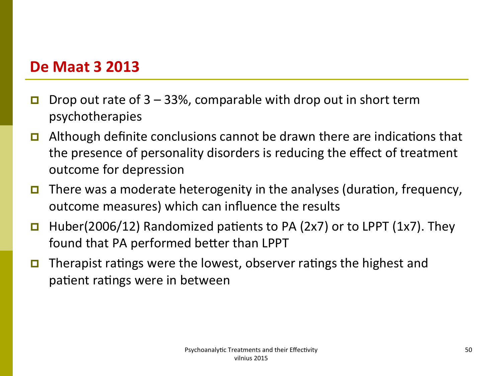### **De Maat 3 2013**

- **p** Drop out rate of  $3 33$ %, comparable with drop out in short term psychotherapies
- **p** Although definite conclusions cannot be drawn there are indications that the presence of personality disorders is reducing the effect of treatment outcome for depression
- **p** There was a moderate heterogenity in the analyses (duration, frequency, outcome measures) which can influence the results
- **p** Huber(2006/12) Randomized patients to PA (2x7) or to LPPT (1x7). They found that PA performed better than LPPT
- **p** Therapist ratings were the lowest, observer ratings the highest and patient ratings were in between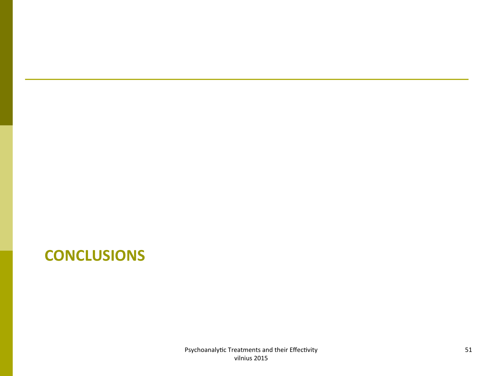## **CONCLUSIONS**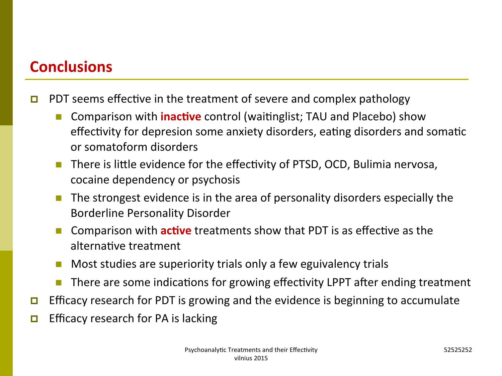### **Conclusions**

- **p** PDT seems effective in the treatment of severe and complex pathology
	- Comparison with **inactive** control (waitinglist; TAU and Placebo) show effectivity for depresion some anxiety disorders, eating disorders and somatic or somatoform disorders
	- n There is little evidence for the effectivity of PTSD, OCD, Bulimia nervosa, cocaine dependency or psychosis
	- The strongest evidence is in the area of personality disorders especially the Borderline Personality Disorder
	- Comparison with **active** treatments show that PDT is as effective as the alternative treatment
	- $\blacksquare$  Most studies are superiority trials only a few eguivalency trials
	- There are some indications for growing effectivity LPPT after ending treatment
- **p** Efficacy research for PDT is growing and the evidence is beginning to accumulate
- $\Box$  Efficacy research for PA is lacking